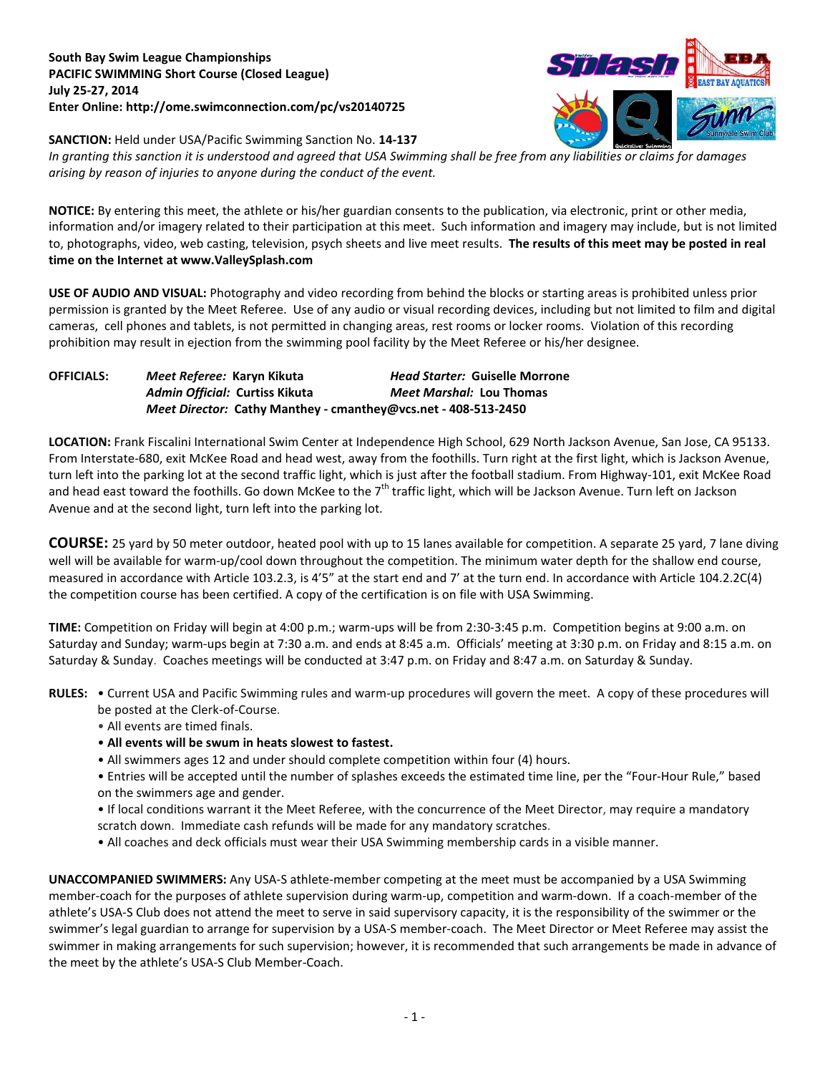## **South Bay Swim League Championships PACIFIC SWIMMING Short Course (Closed League) July 25-27, 2014 Enter Online: http://ome.swimconnection.com/pc/vs20140725**



**SANCTION:** Held under USA/Pacific Swimming Sanction No. **14-137**

*In granting this sanction it is understood and agreed that USA Swimming shall be free from any liabilities or claims for damages arising by reason of injuries to anyone during the conduct of the event.*

**NOTICE:** By entering this meet, the athlete or his/her guardian consents to the publication, via electronic, print or other media, information and/or imagery related to their participation at this meet. Such information and imagery may include, but is not limited to, photographs, video, web casting, television, psych sheets and live meet results. **The results of this meet may be posted in real time on the Internet at www.ValleySplash.com**

**USE OF AUDIO AND VISUAL:** Photography and video recording from behind the blocks or starting areas is prohibited unless prior permission is granted by the Meet Referee. Use of any audio or visual recording devices, including but not limited to film and digital cameras, cell phones and tablets, is not permitted in changing areas, rest rooms or locker rooms. Violation of this recording prohibition may result in ejection from the swimming pool facility by the Meet Referee or his/her designee.

| <b>OFFICIALS:</b> | <i>Meet Referee: K</i> aryn Kikuta                             | <b>Head Starter: Guiselle Morrone</b> |  |  |  |
|-------------------|----------------------------------------------------------------|---------------------------------------|--|--|--|
|                   | Admin Official: Curtiss Kikuta                                 | Meet Marshal: Lou Thomas              |  |  |  |
|                   | Meet Director: Cathy Manthey - cmanthey@vcs.net - 408-513-2450 |                                       |  |  |  |

**LOCATION:** Frank Fiscalini International Swim Center at Independence High School, 629 North Jackson Avenue, San Jose, CA 95133. From Interstate-680, exit McKee Road and head west, away from the foothills. Turn right at the first light, which is Jackson Avenue, turn left into the parking lot at the second traffic light, which is just after the football stadium. From Highway-101, exit McKee Road and head east toward the foothills. Go down McKee to the  $7<sup>th</sup>$  traffic light, which will be Jackson Avenue. Turn left on Jackson Avenue and at the second light, turn left into the parking lot.

**COURSE:** 25 yard by 50 meter outdoor, heated pool with up to 15 lanes available for competition. A separate 25 yard, 7 lane diving well will be available for warm-up/cool down throughout the competition. The minimum water depth for the shallow end course, measured in accordance with Article 103.2.3, is 4'5" at the start end and 7' at the turn end. In accordance with Article 104.2.2C(4) the competition course has been certified. A copy of the certification is on file with USA Swimming.

**TIME:** Competition on Friday will begin at 4:00 p.m.; warm-ups will be from 2:30-3:45 p.m. Competition begins at 9:00 a.m. on Saturday and Sunday; warm-ups begin at 7:30 a.m. and ends at 8:45 a.m. Officials' meeting at 3:30 p.m. on Friday and 8:15 a.m. on Saturday & Sunday. Coaches meetings will be conducted at 3:47 p.m. on Friday and 8:47 a.m. on Saturday & Sunday.

- **RULES:** Current USA and Pacific Swimming rules and warm-up procedures will govern the meet. A copy of these procedures will be posted at the Clerk-of-Course.
	- All events are timed finals.
	- **All events will be swum in heats slowest to fastest.**
	- All swimmers ages 12 and under should complete competition within four (4) hours.
	- Entries will be accepted until the number of splashes exceeds the estimated time line, per the "Four-Hour Rule," based on the swimmers age and gender.
	- If local conditions warrant it the Meet Referee, with the concurrence of the Meet Director, may require a mandatory scratch down. Immediate cash refunds will be made for any mandatory scratches.
	- All coaches and deck officials must wear their USA Swimming membership cards in a visible manner.

**UNACCOMPANIED SWIMMERS:** Any USA-S athlete-member competing at the meet must be accompanied by a USA Swimming member-coach for the purposes of athlete supervision during warm-up, competition and warm-down. If a coach-member of the athlete's USA-S Club does not attend the meet to serve in said supervisory capacity, it is the responsibility of the swimmer or the swimmer's legal guardian to arrange for supervision by a USA-S member-coach. The Meet Director or Meet Referee may assist the swimmer in making arrangements for such supervision; however, it is recommended that such arrangements be made in advance of the meet by the athlete's USA-S Club Member-Coach.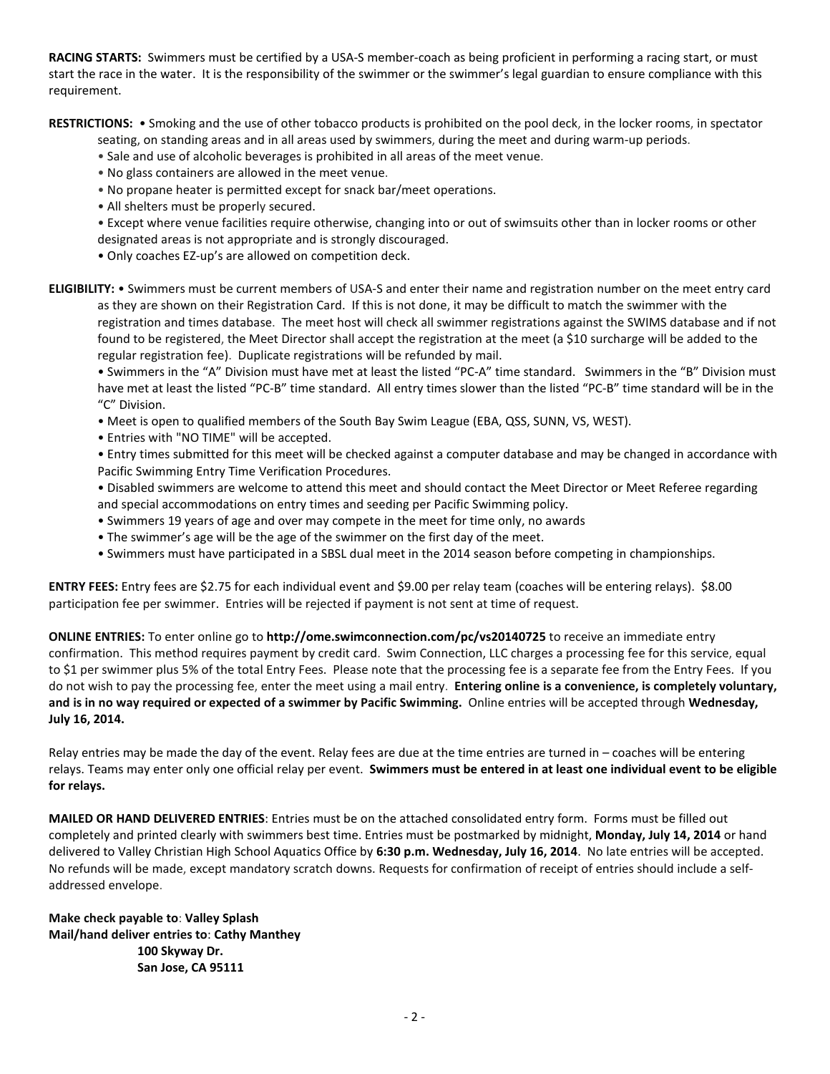**RACING STARTS:** Swimmers must be certified by a USA-S member-coach as being proficient in performing a racing start, or must start the race in the water. It is the responsibility of the swimmer or the swimmer's legal guardian to ensure compliance with this requirement.

**RESTRICTIONS:** • Smoking and the use of other tobacco products is prohibited on the pool deck, in the locker rooms, in spectator

seating, on standing areas and in all areas used by swimmers, during the meet and during warm-up periods.

- Sale and use of alcoholic beverages is prohibited in all areas of the meet venue.
- No glass containers are allowed in the meet venue.
- No propane heater is permitted except for snack bar/meet operations.
- All shelters must be properly secured.

• Except where venue facilities require otherwise, changing into or out of swimsuits other than in locker rooms or other designated areas is not appropriate and is strongly discouraged.

• Only coaches EZ-up's are allowed on competition deck.

**ELIGIBILITY:** • Swimmers must be current members of USA-S and enter their name and registration number on the meet entry card as they are shown on their Registration Card. If this is not done, it may be difficult to match the swimmer with the registration and times database. The meet host will check all swimmer registrations against the SWIMS database and if not found to be registered, the Meet Director shall accept the registration at the meet (a \$10 surcharge will be added to the regular registration fee). Duplicate registrations will be refunded by mail.

• Swimmers in the "A" Division must have met at least the listed "PC-A" time standard. Swimmers in the "B" Division must have met at least the listed "PC-B" time standard. All entry times slower than the listed "PC-B" time standard will be in the "C" Division.

- Meet is open to qualified members of the South Bay Swim League (EBA, QSS, SUNN, VS, WEST).
- Entries with "NO TIME" will be accepted.

• Entry times submitted for this meet will be checked against a computer database and may be changed in accordance with Pacific Swimming Entry Time Verification Procedures.

• Disabled swimmers are welcome to attend this meet and should contact the Meet Director or Meet Referee regarding and special accommodations on entry times and seeding per Pacific Swimming policy.

- Swimmers 19 years of age and over may compete in the meet for time only, no awards
- The swimmer's age will be the age of the swimmer on the first day of the meet.
- Swimmers must have participated in a SBSL dual meet in the 2014 season before competing in championships.

**ENTRY FEES:** Entry fees are \$2.75 for each individual event and \$9.00 per relay team (coaches will be entering relays). \$8.00 participation fee per swimmer. Entries will be rejected if payment is not sent at time of request.

**ONLINE ENTRIES:** To enter online go to **http://ome.swimconnection.com/pc/vs20140725** to receive an immediate entry confirmation. This method requires payment by credit card. Swim Connection, LLC charges a processing fee for this service, equal to \$1 per swimmer plus 5% of the total Entry Fees. Please note that the processing fee is a separate fee from the Entry Fees. If you do not wish to pay the processing fee, enter the meet using a mail entry. **Entering online is a convenience, is completely voluntary, and is in no way required or expected of a swimmer by Pacific Swimming.** Online entries will be accepted through **Wednesday, July 16, 2014.**

Relay entries may be made the day of the event. Relay fees are due at the time entries are turned in – coaches will be entering relays. Teams may enter only one official relay per event. **Swimmers must be entered in at least one individual event to be eligible for relays.**

**MAILED OR HAND DELIVERED ENTRIES**: Entries must be on the attached consolidated entry form. Forms must be filled out completely and printed clearly with swimmers best time. Entries must be postmarked by midnight, **Monday, July 14, 2014** or hand delivered to Valley Christian High School Aquatics Office by **6:30 p.m. Wednesday, July 16, 2014**. No late entries will be accepted. No refunds will be made, except mandatory scratch downs. Requests for confirmation of receipt of entries should include a selfaddressed envelope.

**Make check payable to**: **Valley Splash Mail/hand deliver entries to**: **Cathy Manthey 100 Skyway Dr. San Jose, CA 95111**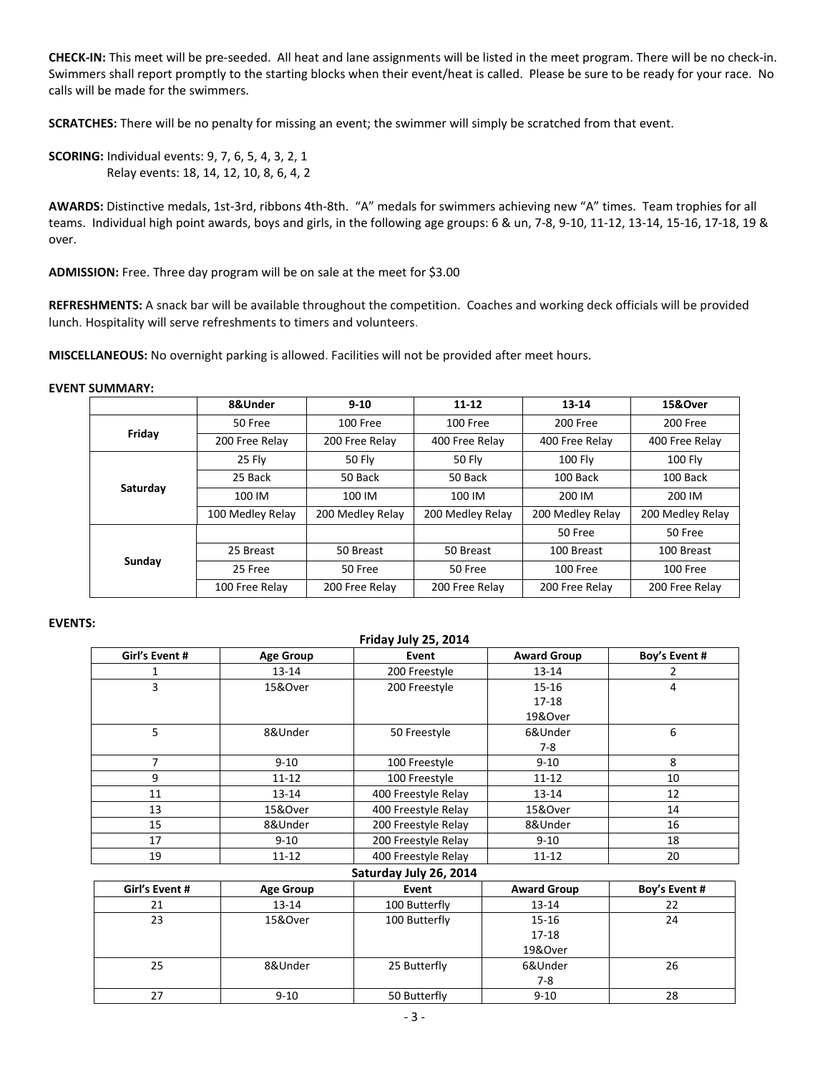**CHECK-IN:** This meet will be pre-seeded. All heat and lane assignments will be listed in the meet program. There will be no check-in. Swimmers shall report promptly to the starting blocks when their event/heat is called. Please be sure to be ready for your race. No calls will be made for the swimmers.

**SCRATCHES:** There will be no penalty for missing an event; the swimmer will simply be scratched from that event.

**SCORING:** Individual events: 9, 7, 6, 5, 4, 3, 2, 1 Relay events: 18, 14, 12, 10, 8, 6, 4, 2

**AWARDS:** Distinctive medals, 1st-3rd, ribbons 4th-8th. "A" medals for swimmers achieving new "A" times. Team trophies for all teams. Individual high point awards, boys and girls, in the following age groups: 6 & un, 7-8, 9-10, 11-12, 13-14, 15-16, 17-18, 19 & over.

**ADMISSION:** Free. Three day program will be on sale at the meet for \$3.00

**REFRESHMENTS:** A snack bar will be available throughout the competition. Coaches and working deck officials will be provided lunch. Hospitality will serve refreshments to timers and volunteers.

**MISCELLANEOUS:** No overnight parking is allowed. Facilities will not be provided after meet hours.

## **EVENT SUMMARY:**

|          | 8&Under          | $9 - 10$         | $11 - 12$        | 13-14            | 15&Over          |  |
|----------|------------------|------------------|------------------|------------------|------------------|--|
| Friday   | 50 Free          | 100 Free         | 100 Free         | 200 Free         | 200 Free         |  |
|          | 200 Free Relay   | 200 Free Relay   | 400 Free Relay   | 400 Free Relay   | 400 Free Relay   |  |
|          | 25 Fly           | 50 Fly           | <b>50 Fly</b>    | <b>100 Fly</b>   | <b>100 Fly</b>   |  |
|          | 25 Back          | 50 Back          | 50 Back          | 100 Back         | 100 Back         |  |
| Saturday | 100 IM           | 100 IM           | 100 IM           | 200 IM           | 200 IM           |  |
|          | 100 Medley Relay | 200 Medley Relay | 200 Medley Relay | 200 Medley Relay | 200 Medley Relay |  |
| Sunday   |                  |                  |                  | 50 Free          | 50 Free          |  |
|          | 25 Breast        | 50 Breast        | 50 Breast        | 100 Breast       | 100 Breast       |  |
|          | 25 Free          | 50 Free          | 50 Free          | 100 Free         | 100 Free         |  |
|          | 100 Free Relay   | 200 Free Relay   | 200 Free Relay   | 200 Free Relay   | 200 Free Relay   |  |

## **EVENTS:**

| Friday July 25, 2014 |                  |                        |                    |               |  |  |  |  |
|----------------------|------------------|------------------------|--------------------|---------------|--|--|--|--|
| Girl's Event #       | <b>Age Group</b> | Event                  | <b>Award Group</b> | Boy's Event # |  |  |  |  |
| 1                    | 13-14            | 200 Freestyle          | 13-14              | 2             |  |  |  |  |
| 3                    | 15&Over          | 200 Freestyle          | 15-16              | 4             |  |  |  |  |
|                      |                  |                        | 17-18              |               |  |  |  |  |
|                      |                  |                        | 19&Over            |               |  |  |  |  |
| 5                    | 8&Under          | 50 Freestyle           | 6&Under            | 6             |  |  |  |  |
|                      |                  |                        | $7-8$              |               |  |  |  |  |
| $\overline{7}$       | $9 - 10$         | 100 Freestyle          | $9 - 10$           | 8             |  |  |  |  |
| 9                    | $11 - 12$        | 100 Freestyle          | $11 - 12$          | 10            |  |  |  |  |
| 11                   | $13 - 14$        | 400 Freestyle Relay    | $13 - 14$          | 12            |  |  |  |  |
| 13                   | 15&Over          | 400 Freestyle Relay    | 15&Over            |               |  |  |  |  |
| 15<br>8&Under        |                  | 200 Freestyle Relay    | 8&Under            | 16            |  |  |  |  |
| 17                   | $9 - 10$         | 200 Freestyle Relay    | $9 - 10$           | 18            |  |  |  |  |
| 19                   | $11 - 12$        | 400 Freestyle Relay    | $11 - 12$          | 20            |  |  |  |  |
|                      |                  | Saturday July 26, 2014 |                    |               |  |  |  |  |
| Girl's Event #       | <b>Age Group</b> | Event                  | <b>Award Group</b> | Boy's Event # |  |  |  |  |
| 21                   | 13-14            | 100 Butterfly          | 13-14              | 22            |  |  |  |  |
| 23                   | 15&Over          | 100 Butterfly          | $15 - 16$          | 24            |  |  |  |  |
|                      |                  |                        | $17 - 18$          |               |  |  |  |  |
|                      |                  |                        | 19&Over            |               |  |  |  |  |
| 25<br>8&Under        |                  | 25 Butterfly           | 6&Under            | 26            |  |  |  |  |
|                      |                  |                        | $7 - 8$            |               |  |  |  |  |
| 27                   | $9 - 10$         | 50 Butterfly           | $9 - 10$           | 28            |  |  |  |  |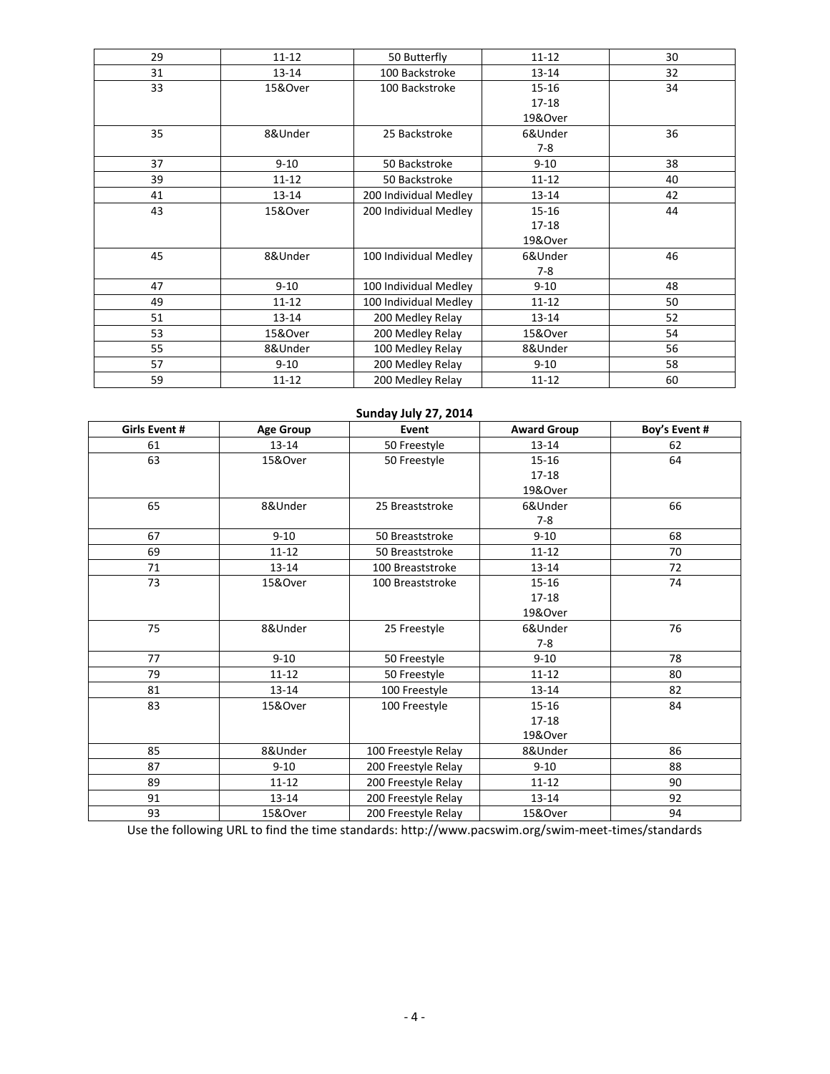| 29 | $11 - 12$ | 50 Butterfly          |           | 30 |
|----|-----------|-----------------------|-----------|----|
| 31 | 13-14     | 100 Backstroke        | 13-14     | 32 |
| 33 | 15&Over   | 100 Backstroke        | 15-16     | 34 |
|    |           |                       | $17-18$   |    |
|    |           |                       | 19&Over   |    |
| 35 | 8&Under   | 25 Backstroke         | 6&Under   | 36 |
|    |           |                       | $7-8$     |    |
| 37 | $9 - 10$  | 50 Backstroke         | $9 - 10$  | 38 |
| 39 | 11-12     | 50 Backstroke         | $11 - 12$ | 40 |
| 41 | $13 - 14$ | 200 Individual Medley | $13 - 14$ | 42 |
| 43 | 15&Over   | 200 Individual Medley | $15 - 16$ | 44 |
|    |           |                       | 17-18     |    |
|    |           |                       | 19&Over   |    |
| 45 | 8&Under   | 100 Individual Medley | 6&Under   | 46 |
|    |           |                       | $7-8$     |    |
| 47 | $9 - 10$  | 100 Individual Medley | $9 - 10$  | 48 |
| 49 | $11 - 12$ | 100 Individual Medley | $11 - 12$ | 50 |
| 51 | 13-14     | 200 Medley Relay      | 13-14     | 52 |
| 53 | 15&Over   | 200 Medley Relay      | 15&Over   | 54 |
| 55 | 8&Under   | 100 Medley Relay      | 8&Under   | 56 |
| 57 | $9 - 10$  | 200 Medley Relay      | $9 - 10$  | 58 |
| 59 | 11-12     | 200 Medley Relay      | $11 - 12$ | 60 |

| Sunday July 27, 2014 |                  |                           |                    |               |  |  |  |  |  |
|----------------------|------------------|---------------------------|--------------------|---------------|--|--|--|--|--|
| <b>Girls Event #</b> | <b>Age Group</b> | Event                     | <b>Award Group</b> | Boy's Event # |  |  |  |  |  |
| 61                   | 13-14            | 50 Freestyle              | $13 - 14$          | 62            |  |  |  |  |  |
| 63                   | 15&Over          | 50 Freestyle              | $15 - 16$          | 64            |  |  |  |  |  |
|                      |                  |                           | 17-18              |               |  |  |  |  |  |
|                      |                  |                           | 19&Over            |               |  |  |  |  |  |
| 65                   | 8&Under          | 25 Breaststroke           | 6&Under            | 66            |  |  |  |  |  |
|                      |                  |                           | $7-8$              |               |  |  |  |  |  |
| 67                   | $9 - 10$         | 50 Breaststroke           | $9 - 10$           | 68            |  |  |  |  |  |
| 69                   | $11 - 12$        | 50 Breaststroke           | $11 - 12$          | 70            |  |  |  |  |  |
| 71                   | 13-14            | 100 Breaststroke          | $13 - 14$          | 72            |  |  |  |  |  |
| 73                   | 15&Over          | 100 Breaststroke          | $15 - 16$          | 74            |  |  |  |  |  |
|                      |                  |                           | $17 - 18$          |               |  |  |  |  |  |
|                      |                  |                           | 19&Over            |               |  |  |  |  |  |
| 75                   | 8&Under          | 25 Freestyle              | 6&Under            | 76            |  |  |  |  |  |
|                      |                  |                           | $7 - 8$            |               |  |  |  |  |  |
| 77                   | $9 - 10$         | 50 Freestyle              | $9 - 10$           | 78            |  |  |  |  |  |
| 79                   | $11 - 12$        | $11 - 12$<br>50 Freestyle |                    | 80            |  |  |  |  |  |
| 81                   | $13 - 14$        | 100 Freestyle             | $13 - 14$          | 82            |  |  |  |  |  |
| 83                   | 15&Over          | 100 Freestyle             | $15 - 16$          | 84            |  |  |  |  |  |
|                      |                  |                           | 17-18              |               |  |  |  |  |  |
|                      |                  |                           | 19&Over            |               |  |  |  |  |  |
| 85                   | 8&Under          | 100 Freestyle Relay       | 8&Under            | 86            |  |  |  |  |  |
| 87                   | $9 - 10$         | 200 Freestyle Relay       | $9 - 10$           | 88            |  |  |  |  |  |
| 89                   | $11 - 12$        | 200 Freestyle Relay       | $11 - 12$          | 90            |  |  |  |  |  |
| 91                   | $13 - 14$        | 200 Freestyle Relay       | $13 - 14$          | 92            |  |  |  |  |  |
| 93                   | 15&Over          | 200 Freestyle Relay       | 15&Over            | 94            |  |  |  |  |  |

Use the following URL to find the time standards: http://www.pacswim.org/swim-meet-times/standards